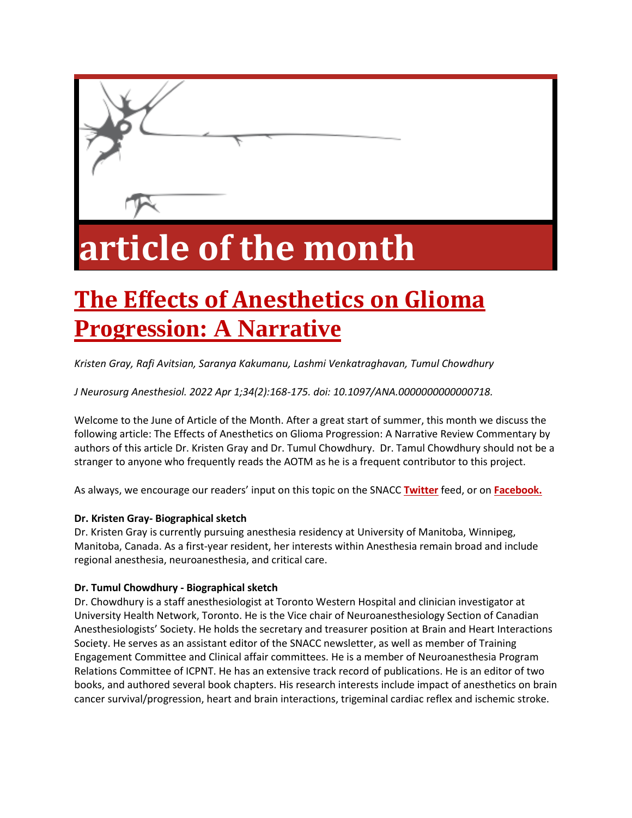

# **article of the month**

# **[The Effects of Anesthetics on Glioma](https://snacc.org/wp-content/uploads/2022/06/The_Effects_of_Anesthetics_on_Glioma_Progression_.4.pdf)  [Progression: A Narrative](https://snacc.org/wp-content/uploads/2022/06/The_Effects_of_Anesthetics_on_Glioma_Progression_.4.pdf)**

*Kristen Gray, Rafi Avitsian, Saranya Kakumanu, Lashmi Venkatraghavan, Tumul Chowdhury* 

*J Neurosurg Anesthesiol. 2022 Apr 1;34(2):168-175. doi: 10.1097/ANA.0000000000000718.*

Welcome to the June of Article of the Month. After a great start of summer, this month we discuss the following article: The Effects of Anesthetics on Glioma Progression: A Narrative Review Commentary by authors of this article Dr. Kristen Gray and Dr. Tumul Chowdhury. Dr. Tamul Chowdhury should not be a stranger to anyone who frequently reads the AOTM as he is a frequent contributor to this project.

As always, we encourage our readers' input on this topic on the SNACC **[Twitter](https://twitter.com/SNACCNeuro)** feed, or on **[Facebook.](https://www.facebook.com/SNACC.org)**

#### **Dr. Kristen Gray- Biographical sketch**

Dr. Kristen Gray is currently pursuing anesthesia residency at University of Manitoba, Winnipeg, Manitoba, Canada. As a first-year resident, her interests within Anesthesia remain broad and include regional anesthesia, neuroanesthesia, and critical care.

#### **Dr. Tumul Chowdhury - Biographical sketch**

Dr. Chowdhury is a staff anesthesiologist at Toronto Western Hospital and clinician investigator at University Health Network, Toronto. He is the Vice chair of Neuroanesthesiology Section of Canadian Anesthesiologists' Society. He holds the secretary and treasurer position at Brain and Heart Interactions Society. He serves as an assistant editor of the SNACC newsletter, as well as member of Training Engagement Committee and Clinical affair committees. He is a member of Neuroanesthesia Program Relations Committee of ICPNT. He has an extensive track record of publications. He is an editor of two books, and authored several book chapters. His research interests include impact of anesthetics on brain cancer survival/progression, heart and brain interactions, trigeminal cardiac reflex and ischemic stroke.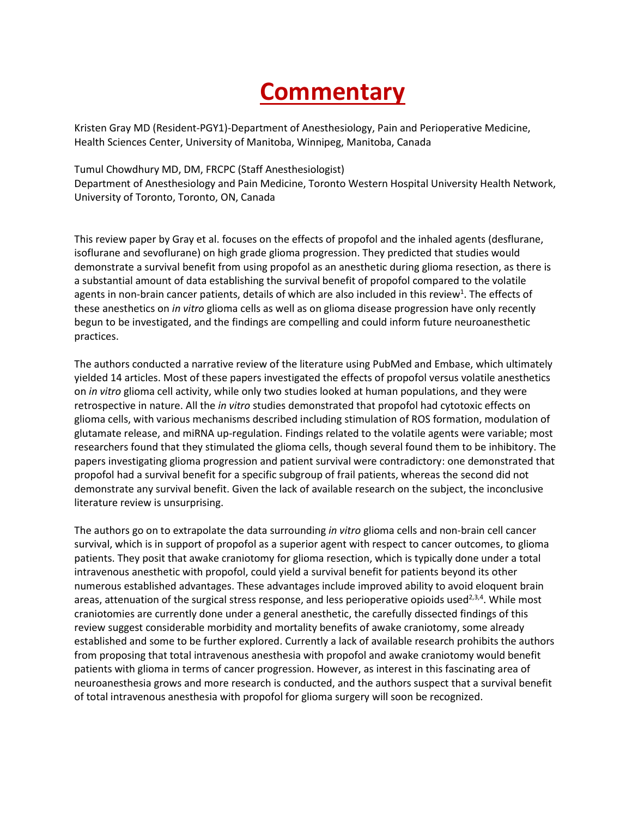## **Commentary**

Kristen Gray MD (Resident-PGY1)-Department of Anesthesiology, Pain and Perioperative Medicine, Health Sciences Center, University of Manitoba, Winnipeg, Manitoba, Canada

Tumul Chowdhury MD, DM, FRCPC (Staff Anesthesiologist) Department of Anesthesiology and Pain Medicine, Toronto Western Hospital University Health Network, University of Toronto, Toronto, ON, Canada

This review paper by Gray et al. focuses on the effects of propofol and the inhaled agents (desflurane, isoflurane and sevoflurane) on high grade glioma progression. They predicted that studies would demonstrate a survival benefit from using propofol as an anesthetic during glioma resection, as there is a substantial amount of data establishing the survival benefit of propofol compared to the volatile agents in non-brain cancer patients, details of which are also included in this review<sup>1</sup>. The effects of these anesthetics on *in vitro* glioma cells as well as on glioma disease progression have only recently begun to be investigated, and the findings are compelling and could inform future neuroanesthetic practices.

The authors conducted a narrative review of the literature using PubMed and Embase, which ultimately yielded 14 articles. Most of these papers investigated the effects of propofol versus volatile anesthetics on *in vitro* glioma cell activity, while only two studies looked at human populations, and they were retrospective in nature. All the *in vitro* studies demonstrated that propofol had cytotoxic effects on glioma cells, with various mechanisms described including stimulation of ROS formation, modulation of glutamate release, and miRNA up-regulation. Findings related to the volatile agents were variable; most researchers found that they stimulated the glioma cells, though several found them to be inhibitory. The papers investigating glioma progression and patient survival were contradictory: one demonstrated that propofol had a survival benefit for a specific subgroup of frail patients, whereas the second did not demonstrate any survival benefit. Given the lack of available research on the subject, the inconclusive literature review is unsurprising.

The authors go on to extrapolate the data surrounding *in vitro* glioma cells and non-brain cell cancer survival, which is in support of propofol as a superior agent with respect to cancer outcomes, to glioma patients. They posit that awake craniotomy for glioma resection, which is typically done under a total intravenous anesthetic with propofol, could yield a survival benefit for patients beyond its other numerous established advantages. These advantages include improved ability to avoid eloquent brain areas, attenuation of the surgical stress response, and less perioperative opioids used<sup>2,3,4</sup>. While most craniotomies are currently done under a general anesthetic, the carefully dissected findings of this review suggest considerable morbidity and mortality benefits of awake craniotomy, some already established and some to be further explored. Currently a lack of available research prohibits the authors from proposing that total intravenous anesthesia with propofol and awake craniotomy would benefit patients with glioma in terms of cancer progression. However, as interest in this fascinating area of neuroanesthesia grows and more research is conducted, and the authors suspect that a survival benefit of total intravenous anesthesia with propofol for glioma surgery will soon be recognized.